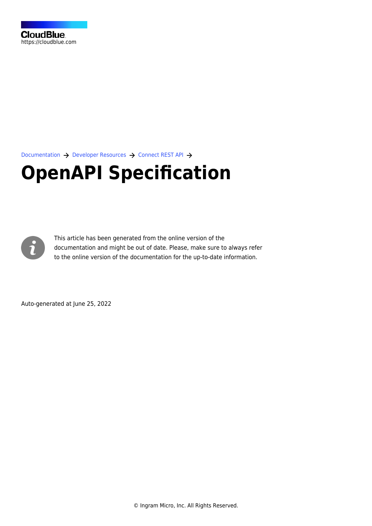[Documentation](https://connect.cloudblue.com/documentation)  $\rightarrow$  [Developer Resources](https://connect.cloudblue.com/community/developers/)  $\rightarrow$  [Connect REST API](https://connect.cloudblue.com/community/developers/api/)  $\rightarrow$ 

## **[OpenAPI Specification](https://connect.cloudblue.com/community/developers/api/openapi/)**



This article has been generated from the online version of the documentation and might be out of date. Please, make sure to always refer to the online version of the documentation for the up-to-date information.

Auto-generated at June 25, 2022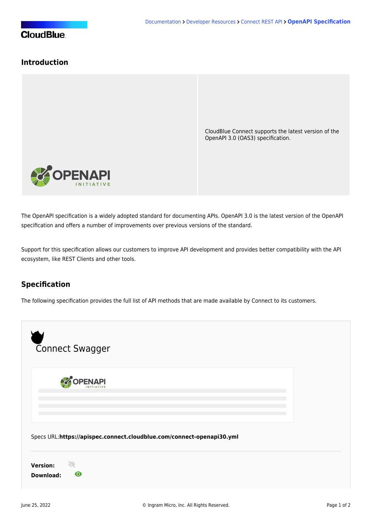## **Introduction**

CloudBlue Connect supports the latest version of the [OpenAPI](https://www.openapis.org/) 3.0 (OAS3) specification.



The OpenAPI specification is a widely adopted standard for documenting APIs. OpenAPI 3.0 is the latest version of the OpenAPI specification and offers a number of improvements over previous versions of the standard.

Support for this specification allows our customers to improve API development and provides better compatibility with the API ecosystem, like [REST Clients](https://connect.cloudblue.com/community/api/rest-clients/) and other tools.

## **Specification**

The following specification provides the full list of API methods that are made available by Connect to its customers.